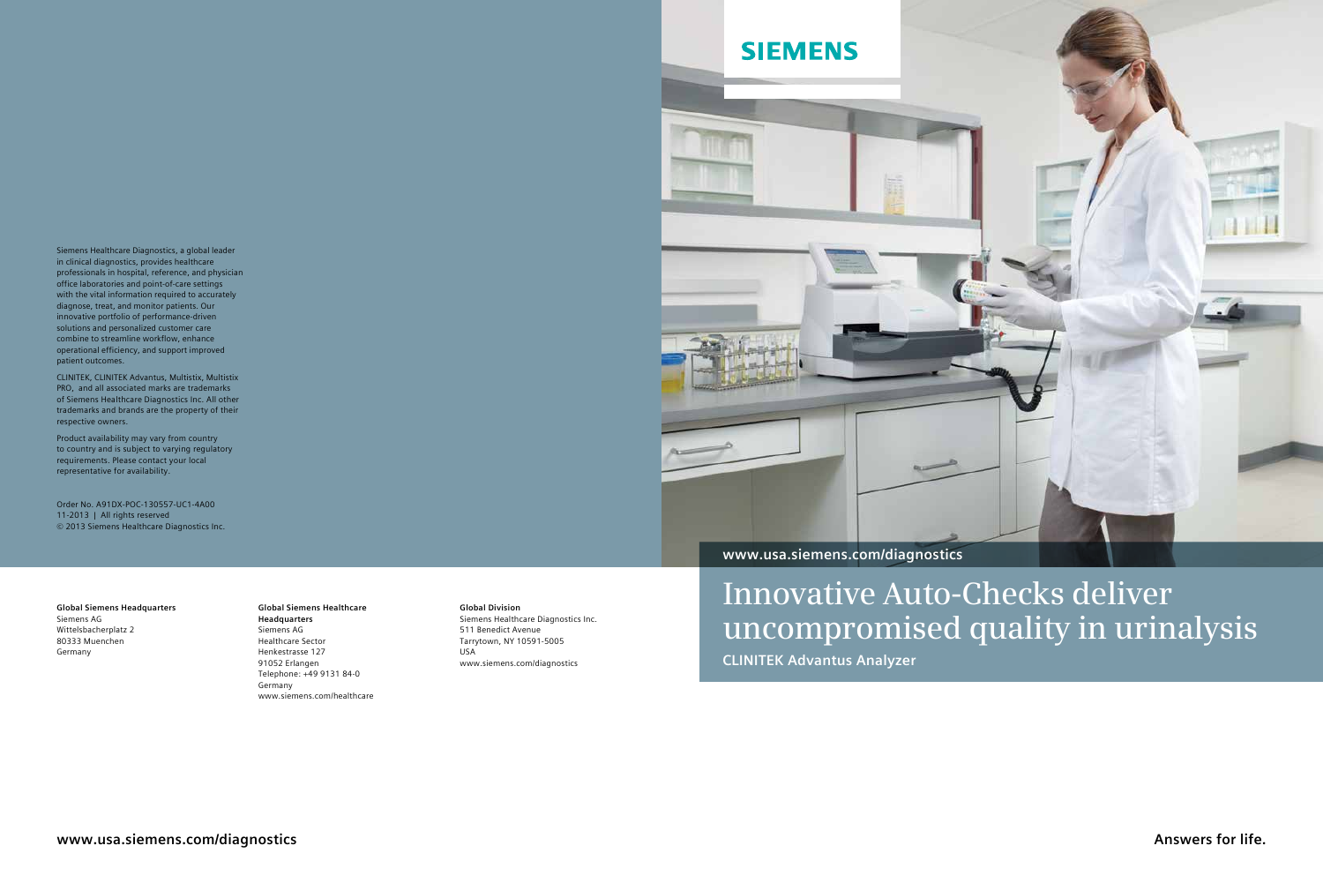**Answers for life.**



**Global Siemens Headquarters** Siemens AG Wittelsbacherplatz 2 80333 Muenchen Germany

**Global Siemens Healthcare Headquarters** Siemens AG Healthcare Sector Henkestrasse 127 91052 Erlangen Telephone: +49 9131 84-0 Germany www.siemens.com/healthcare

**Global Division** Siemens Healthcare Diagnostics Inc. 511 Benedict Avenue Tarrytown, NY 10591-5005 USA www.siemens.com/diagnostics

Siemens Healthcare Diagnostics, a global leader in clinical diagnostics, provides healthcare professionals in hospital, reference, and physician office laboratories and point-of-care settings with the vital information required to accurately diagnose, treat, and monitor patients. Our innovative portfolio of performance-driven solutions and personalized customer care combine to streamline workflow, enhance operational efficiency, and support improved patient outcomes.

CLINITEK, CLINITEK Advantus, Multistix, Multistix PRO, and all associated marks are trademarks of Siemens Healthcare Diagnostics Inc. All other trademarks and brands are the property of their respective owners.

Product availability may vary from country to country and is subject to varying regulatory requirements. Please contact your local representative for availability.

Order No. A91DX-POC-130557-UC1-4A00 11-2013 | All rights reserved © 2013 Siemens Healthcare Diagnostics Inc.

# **Innovative Auto-Checks deliver uncompromised quality in urinalysis**

**CLINITEK Advantus Analyzer**